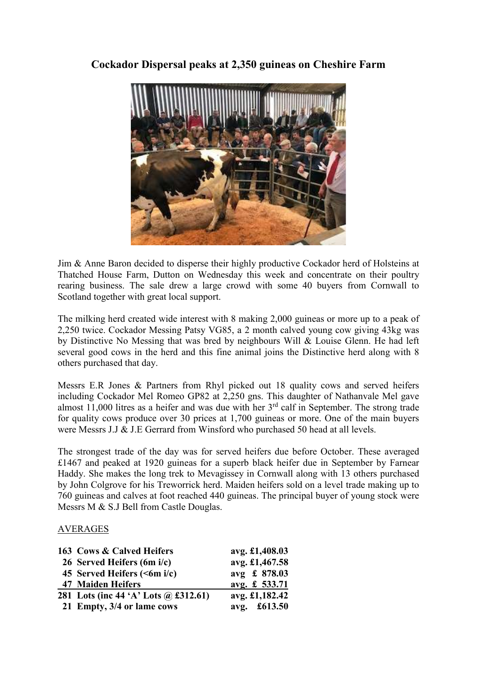## Cockador Dispersal peaks at 2,350 guineas on Cheshire Farm



Jim & Anne Baron decided to disperse their highly productive Cockador herd of Holsteins at Thatched House Farm, Dutton on Wednesday this week and concentrate on their poultry rearing business. The sale drew a large crowd with some 40 buyers from Cornwall to Scotland together with great local support.

The milking herd created wide interest with 8 making 2,000 guineas or more up to a peak of 2,250 twice. Cockador Messing Patsy VG85, a 2 month calved young cow giving 43kg was by Distinctive No Messing that was bred by neighbours Will & Louise Glenn. He had left several good cows in the herd and this fine animal joins the Distinctive herd along with 8 others purchased that day.

Messrs E.R Jones & Partners from Rhyl picked out 18 quality cows and served heifers including Cockador Mel Romeo GP82 at 2,250 gns. This daughter of Nathanvale Mel gave almost 11,000 litres as a heifer and was due with her  $3<sup>rd</sup>$  calf in September. The strong trade for quality cows produce over 30 prices at 1,700 guineas or more. One of the main buyers were Messrs J.J & J.E Gerrard from Winsford who purchased 50 head at all levels.

The strongest trade of the day was for served heifers due before October. These averaged £1467 and peaked at 1920 guineas for a superb black heifer due in September by Farnear Haddy. She makes the long trek to Mevagissey in Cornwall along with 13 others purchased by John Colgrove for his Treworrick herd. Maiden heifers sold on a level trade making up to 760 guineas and calves at foot reached 440 guineas. The principal buyer of young stock were Messrs M & S.J Bell from Castle Douglas.

## AVERAGES

| 163 Cows & Calved Heifers            | avg. £1,408.03 |
|--------------------------------------|----------------|
| 26 Served Heifers (6m i/c)           | avg. £1,467.58 |
| 45 Served Heifers (<6m i/c)          | avg £ 878.03   |
| 47 Maiden Heifers                    | avg. £ 533.71  |
| 281 Lots (inc 44 'A' Lots @ £312.61) | avg. £1,182.42 |
| 21 Empty, 3/4 or lame cows           | avg. £613.50   |